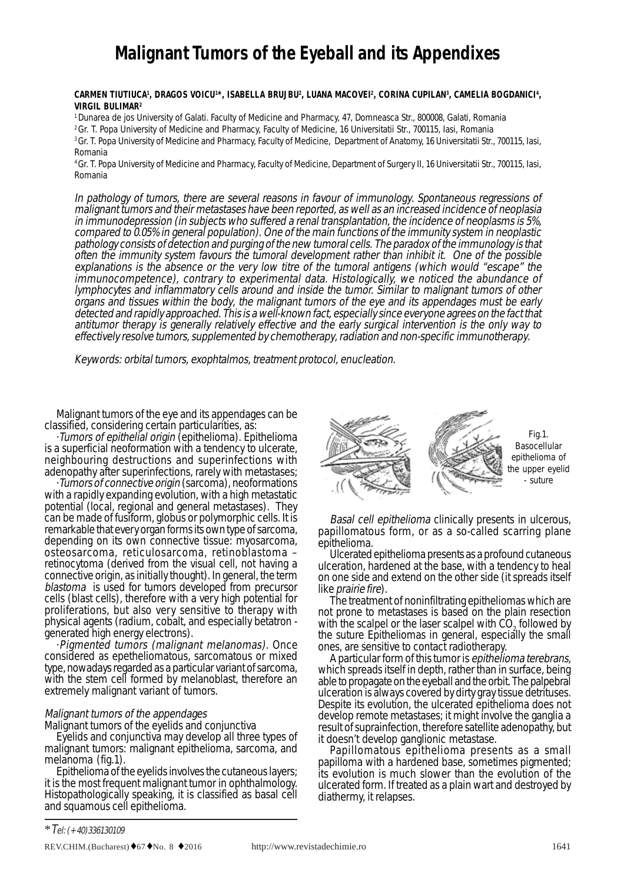# **Malignant Tumors of the Eyeball and its Appendixes**

### CARMEN TIUTIUCA<sup>i</sup>, DRAGOS VOICU'\*, ISABELLA BRUJBU?, LUANA MACOVEI°, CORINA CUPILAN3, CAMELIA BOGDANICI<sup>4</sup>, **VIRGIL BULIMAR2**

1 Dunarea de jos University of Galati. Faculty of Medicine and Pharmacy, 47, Domneasca Str., 800008, Galati, Romania

2 Gr. T. Popa University of Medicine and Pharmacy, Faculty of Medicine, 16 Universitatii Str., 700115, Iasi, Romania

3 Gr. T. Popa University of Medicine and Pharmacy, Faculty of Medicine, Department of Anatomy, 16 Universitatii Str., 700115, Iasi, Romania

4 Gr. T. Popa University of Medicine and Pharmacy, Faculty of Medicine, Department of Surgery II, 16 Universitatii Str., 700115, Iasi, Romania

In pathology of tumors, there are several reasons in favour of immunology. Spontaneous regressions of malignant tumors and their metastases have been reported, as well as an increased incidence of neoplasia in immunodepression (in subjects who suffered a renal transplantation, the incidence of neoplasms is 5%, compared to 0.05% in general population). One of the main functions of the immunity system in neoplastic pathology consists of detection and purging of the new tumoral cells. The paradox of the immunology is that often the immunity system favours the tumoral development rather than inhibit it. One of the possible explanations is the absence or the very low titre of the tumoral antigens (which would "escape" the immunocompetence), contrary to experimental data. Histologically, we noticed the abundance of lymphocytes and inflammatory cells around and inside the tumor. Similar to malignant tumors of other organs and tissues within the body, the malignant tumors of the eye and its appendages must be early detected and rapidly approached. This is a well-known fact, especially since everyone agrees on the fact that antitumor therapy is generally relatively effective and the early surgical intervention is the only way to effectively resolve tumors, supplemented by chemotherapy, radiation and non-specific immunotherapy.

Keywords: orbital tumors, exophtalmos, treatment protocol, enucleation.

Malignant tumors of the eye and its appendages can be classified, considering certain particularities, as:

·Tumors of epithelial origin (epithelioma). Epithelioma is a superficial neoformation with a tendency to ulcerate, neighbouring destructions and superinfections with adenopathy after superinfections, rarely with metastases;

· Tumors of connective origin (sarcoma), neoformations with a rapidly expanding evolution, with a high metastatic potential (local, regional and general metastases). They can be made of fusiform, globus or polymorphic cells. It is remarkable that every organ forms its own type of sarcoma, depending on its own connective tissue: myosarcoma, osteosarcoma, reticulosarcoma, retinoblastoma – retinocytoma (derived from the visual cell, not having a connective origin, as initially thought). In general, the term blastoma is used for tumors developed from precursor cells (blast cells), therefore with a very high potential for proliferations, but also very sensitive to therapy with physical agents (radium, cobalt, and especially betatron generated high energy electrons).

·Pigmented tumors (malignant melanomas). Once considered as epetheliomatous, sarcomatous or mixed type, nowadays regarded as a particular variant of sarcoma, with the stem cell formed by melanoblast, therefore an extremely malignant variant of tumors.

# Malignant tumors of the appendages

Malignant tumors of the eyelids and conjunctiva

Eyelids and conjunctiva may develop all three types of malignant tumors: malignant epithelioma, sarcoma, and melanoma (fig.1).

Epithelioma of the eyelids involves the cutaneous layers; it is the most frequent malignant tumor in ophthalmology. Histopathologically speaking, it is classified as basal cell and squamous cell epithelioma.



Basal cell epithelioma clinically presents in ulcerous, papillomatous form, or as a so-called scarring plane epithelioma.

Ulcerated epithelioma presents as a profound cutaneous ulceration, hardened at the base, with a tendency to heal on one side and extend on the other side (it spreads itself

like *prairie fire*).<br>The treatment of noninfiltrating epitheliomas which are not prone to metastases is based on the plain resection with the scalpel or the laser scalpel with CO<sub>2</sub> followed by the suture. Epitheliomas in general, especially the small ones, are sensitive to contact radiotherapy.

A particular form of this tumor is epithelioma terebrans, which spreads itself in depth, rather than in surface, being able to propagate on the eyeball and the orbit. The palpebral ulceration is always covered by dirty gray tissue detrituses. Despite its evolution, the ulcerated epithelioma does not develop remote metastases; it might involve the ganglia a result of suprainfection, therefore satellite adenopathy, but<br>it doesn't develop ganglionic metastase.

Papillomatous epithelioma presents as a small papilloma with a hardened base, sometimes pigmented; its evolution is much slower than the evolution of the ulcerated form. If treated as a plain wart and destroyed by diathermy, it relapses.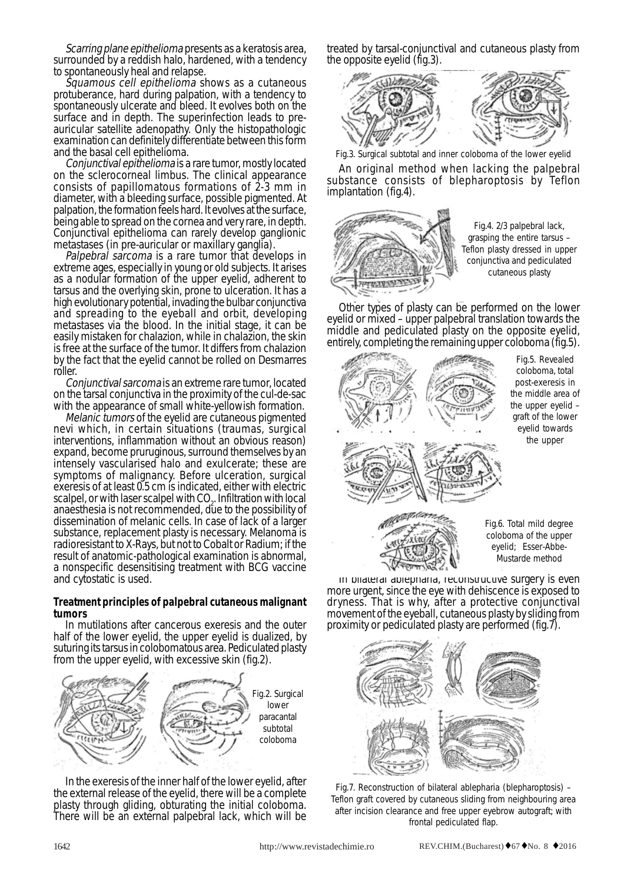Scarring plane epithelioma presents as a keratosis area, surrounded by a reddish halo, hardened, with a tendency to spontaneously heal and relapse.

Squamous cell epithelioma shows as a cutaneous protuberance, hard during palpation, with a tendency to spontaneously ulcerate and bleed. It evolves both on the surface and in depth. The superinfection leads to preauricular satellite adenopathy. Only the histopathologic examination can definitely differentiate between this form and the basal cell epithelioma.

Conjunctival epithelioma is a rare tumor, mostly located on the sclerocorneal limbus. The clinical appearance consists of papillomatous formations of 2-3 mm in diameter, with a bleeding surface, possible pigmented. At palpation, the formation feels hard. It evolves at the surface, being able to spread on the cornea and very rare, in depth. Conjunctival epithelioma can rarely develop ganglionic metastases (in pre-auricular or maxillary ganglia).

Palpebral sarcoma is a rare tumor that develops in extreme ages, especially in young or old subjects. It arises as a nodular formation of the upper eyelid, adherent to tarsus and the overlying skin, prone to ulceration. It has a high evolutionary potential, invading the bulbar conjunctiva and spreading to the eyeball and orbit, developing metastases via the blood. In the initial stage, it can be easily mistaken for chalazion, while in chalazion, the skin is free at the surface of the tumor. It differs from chalazion by the fact that the eyelid cannot be rolled on Desmarres roller.

Conjunctival sarcoma is an extreme rare tumor, located on the tarsal conjunctiva in the proximity of the cul-de-sac with the appearance of small white-yellowish formation.

Melanic tumors of the eyelid are cutaneous pigmented nevi which, in certain situations (traumas, surgical interventions, inflammation without an obvious reason) expand, become pruruginous, surround themselves by an intensely vascularised halo and exulcerate; these are symptoms of malignancy. Before ulceration, surgical exeresis of at least 0.5 cm is indicated, either with electric scalpel, or with laser scalpel with  $\mathrm{CO}_2$ . Infiltration with local anaesthesia is not recommended, due to the possibility of dissemination of melanic cells. In case of lack of a larger substance, replacement plasty is necessary. Melanoma is radioresistant to X-Rays, but not to Cobalt or Radium; if the result of anatomic-pathological examination is abnormal, a nonspecific desensitising treatment with BCG vaccine and cytostatic is used.

# **Treatment principles of palpebral cutaneous malignant tumors**

In mutilations after cancerous exeresis and the outer half of the lower eyelid, the upper eyelid is dualized, by suturing its tarsus in colobomatous area. Pediculated plasty from the upper eyelid, with excessive skin (fig.2).



In the exeresis of the inner half of the lower eyelid, after the external release of the eyelid, there will be a complete plasty through gliding, obturating the initial coloboma. There will be an external palpebral lack, which will be treated by tarsal-conjunctival and cutaneous plasty from the opposite eyelid (fig.3).



Fig.3. Surgical subtotal and inner coloboma of the lower eyelid

An original method when lacking the palpebral substance consists of blepharoptosis by Teflon implantation (fig.4).



Fig.4. 2/3 palpebral lack, grasping the entire tarsus – Teflon plasty dressed in upper conjunctiva and pediculated cutaneous plasty

Other types of plasty can be performed on the lower eyelid or mixed – upper palpebral translation towards the middle and pediculated plasty on the opposite eyelid, entirely, completing the remaining upper coloboma (fig.5).



Fig.5. Revealed coloboma, total post-exeresis in the middle area of the upper eyelid – graft of the lower eyelid towards the upper

Fig.6. Total mild degree coloboma of the upper eyelid; Esser-Abbe-Mustarde method

In bilateral ablepharia, reconstructive surgery is even more urgent, since the eye with dehiscence is exposed to dryness. That is why, after a protective conjunctival movement of the eyeball, cutaneous plasty by sliding from proximity or pediculated plasty are performed (fig.7).



Fig.7. Reconstruction of bilateral ablepharia (blepharoptosis) – Teflon graft covered by cutaneous sliding from neighbouring area after incision clearance and free upper eyebrow autograft; with frontal pediculated flap.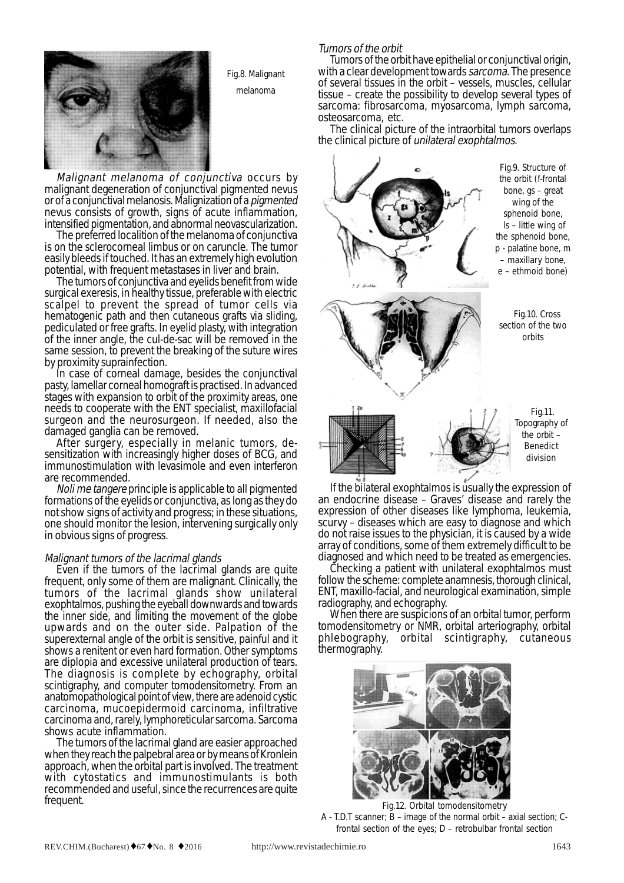

Fig.8. Malignant

melanoma

Malignant melanoma of conjunctiva occurs by malignant degeneration of conjunctival pigmented nevus<br>or of a conjunctival melanosis. Malignization of a *pigmented* nevus consists of growth, signs of acute inflammation,

intensified pigmentation, and abnormal neovascularization. is on the sclerocorneal limbus or on caruncle. The tumor easily bleeds if touched. It has an extremely high evolution potential, with frequent metastases in liver and brain.

The tumors of conjunctiva and eyelids benefit from wide surgical exeresis, in healthy tissue, preferable with electric scalpel to prevent the spread of tumor cells via hematogenic path and then cutaneous grafts via sliding, pediculated or free grafts. In eyelid plasty, with integration of the inner angle, the cul-de-sac will be removed in the same session, to prevent the breaking of the suture wires by proximity suprainfection.<br>In case of corneal damage, besides the conjunctival

pasty, lamellar corneal homograft is practised. In advanced stages with expansion to orbit of the proximity areas, one needs to cooperate with the ENT specialist, maxillofacial surgeon and the neurosurgeon. If needed, also the damaged ganglia can be removed.

After surgery, especially in melanic tumors, de- sensitization with increasingly higher doses of BCG, and immunostimulation with levasimole and even interferon are recommended.

Noli me tangere principle is applicable to all pigmented formations of the eyelids or conjunctiva, as long as they do not show signs of activity and progress; in these situations, one should monitor the lesion, intervening surgically only in obvious signs of progress.

# Malignant tumors of the lacrimal glands

Even if the tumors of the lacrimal glands are quite frequent, only some of them are malignant. Clinically, the tumors of the lacrimal glands show unilateral exophtalmos, pushing the eyeball downwards and towards the inner side, and limiting the movement of the globe upwards and on the outer side. Palpation of the superexternal angle of the orbit is sensitive, painful and it shows a renitent or even hard formation. Other symptoms are diplopia and excessive unilateral production of tears. The diagnosis is complete by echography, orbital scintigraphy, and computer tomodensitometry. From an anatomopathological point of view, there are adenoid cystic carcinoma, mucoepidermoid carcinoma, infiltrative carcinoma and, rarely, lymphoreticular sarcoma. Sarcoma shows acute inflammation.

The tumors of the lacrimal gland are easier approached when they reach the palpebral area or by means of Kronlein approach, when the orbital part is involved. The treatment with cytostatics and immunostimulants is both recommended and useful, since the recurrences are quite frequent.

### Tumors of the orbit

Tumors of the orbit have epithelial or conjunctival origin, with a clear development towards sarcoma. The presence of several tissues in the orbit – vessels, muscles, cellular tissue – create the possibility to develop several types of sarcoma: fibrosarcoma, myosarcoma, lymph sarcoma, osteosarcoma, etc.

The clinical picture of the intraorbital tumors overlaps the clinical picture of unilateral exophtalmos.



If the bilateral exophtalmos is usually the expression of an endocrine disease – Graves' disease and rarely the expression of other diseases like lymphoma, leukemia, scurvy – diseases which are easy to diagnose and which do not raise issues to the physician, it is caused by a wide array of conditions, some of them extremely difficult to be

diagnosed and which need to be treated as emergencies.<br>Checking a patient with unilateral exophtalmos must follow the scheme: complete anamnesis, thorough clinical, ENT, maxillo-facial, and neurological examination, simple radiography, and echography. When there are suspicions of an orbital tumor, perform

tomodensitometry or NMR, orbital arteriography, orbital phlebography, orbital scintigraphy, cutaneous thermography.



Fig.12. Orbital tomodensitometry

A - T.D.T scanner; B – image of the normal orbit – axial section; Cfrontal section of the eyes; D – retrobulbar frontal section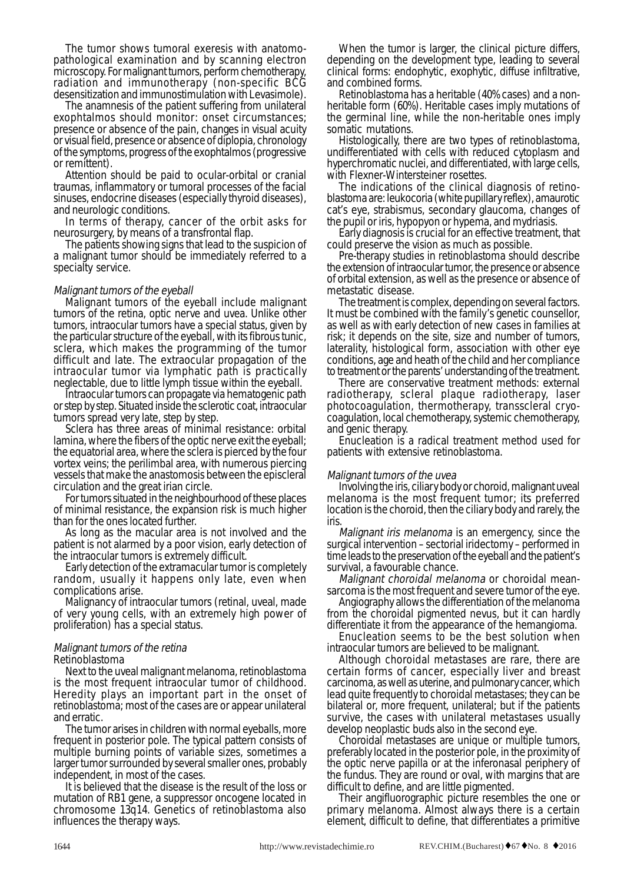The tumor shows tumoral exeresis with anatomopathological examination and by scanning electron microscopy. For malignant tumors, perform chemotherapy, radiation and immunotherapy (non-specific BCG desensitization and immunostimulation with Levasimole).

The anamnesis of the patient suffering from unilateral exophtalmos should monitor: onset circumstances; presence or absence of the pain, changes in visual acuity or visual field, presence or absence of diplopia, chronology of the symptoms, progress of the exophtalmos (progressive or remittent).

Attention should be paid to ocular-orbital or cranial traumas, inflammatory or tumoral processes of the facial sinuses, endocrine diseases (especially thyroid diseases), and neurologic conditions.

In terms of therapy, cancer of the orbit asks for neurosurgery, by means of a transfrontal flap.

The patients showing signs that lead to the suspicion of a malignant tumor should be immediately referred to a specialty service.

Malignant tumors of the eyeball Malignant tumors of the eyeball include malignant tumors of the retina, optic nerve and uvea. Unlike other tumors, intraocular tumors have a special status, given by the particular structure of the eyeball, with its fibrous tunic, sclera, which makes the programming of the tumor difficult and late. The extraocular propagation of the intraocular tumor via lymphatic path is practically

neglectable, due to little lymph tissue within the eyeball.<br>Intraocular tumors can propagate via hematogenic path or step by step. Situated inside the sclerotic coat, intraocular tumors spread very late, step by step.

Sclera has three areas of minimal resistance: orbital lamina, where the fibers of the optic nerve exit the eyeball; the equatorial area, where the sclera is pierced by the four vortex veins; the perilimbal area, with numerous piercing vessels that make the anastomosis between the episcleral

circulation and the great irian circle. For tumors situated in the neighbourhood of these places of minimal resistance, the expansion risk is much higher than for the ones located further.

As long as the macular area is not involved and the patient is not alarmed by a poor vision, early detection of the intraocular tumors is extremely difficult.

Early detection of the extramacular tumor is completely random, usually it happens only late, even when complications arise.

Malignancy of intraocular tumors (retinal, uveal, made of very young cells, with an extremely high power of proliferation) has a special status.

## Malignant tumors of the retina Retinoblastoma

Next to the uveal malignant melanoma, retinoblastoma is the most frequent intraocular tumor of childhood. Heredity plays an important part in the onset of retinoblastoma; most of the cases are or appear unilateral and erratic.<br>The tumor arises in children with normal eveballs, more

frequent in posterior pole. The typical pattern consists of multiple burning points of variable sizes, sometimes a larger tumor surrounded by several smaller ones, probably independent, in most of the cases.

It is believed that the disease is the result of the loss or mutation of RB1 gene, a suppressor oncogene located in chromosome 13q14. Genetics of retinoblastoma also influences the therapy ways.

When the tumor is larger, the clinical picture differs, depending on the development type, leading to several clinical forms: endophytic, exophytic, diffuse infiltrative, and combined forms.

Retinoblastoma has a heritable (40% cases) and a nonheritable form (60%). Heritable cases imply mutations of the germinal line, while the non-heritable ones imply somatic mutations.

Histologically, there are two types of retinoblastoma, undifferentiated with cells with reduced cytoplasm and hyperchromatic nuclei, and differentiated, with large cells,

with Flexner-Wintersteiner rosettes.<br>The indications of the clinical diagnosis of retinoblastoma are: leukocoria (white pupillary reflex), amaurotic cat's eye, strabismus, secondary glaucoma, changes of

Early diagnosis is crucial for an effective treatment, that

could preserve the vision as much as possible. the extension of intraocular tumor, the presence or absence of orbital extension, as well as the presence or absence of metastatic disease.

The treatment is complex, depending on several factors. It must be combined with the family's genetic counsellor, as well as with early detection of new cases in families at risk; it depends on the site, size and number of tumors, laterality, histological form, association with other eye conditions, age and heath of the child and her compliance to treatment or the parents' understanding of the treatment.

There are conservative treatment methods: external radiotherapy, scleral plaque radiotherapy, laser photocoagulation, thermotherapy, transscleral cryocoagulation, local chemotherapy, systemic chemotherapy,

and genic therapy. Enucleation is a radical treatment method used for patients with extensive retinoblastoma.

Malignant tumors of the uvea<br>Involving the iris, ciliary body or choroid, malignant uveal melanoma is the most frequent tumor; its preferred location is the choroid, then the ciliary body and rarely, the iris.

Malignant iris melanoma is an emergency, since the surgical intervention – sectorial iridectomy – performed in time leads to the preservation of the eyeball and the patient's survival, a favourable chance.

Malignant choroidal melanoma or choroidal meansarcoma is the most frequent and severe tumor of the eye. Angiography allows the differentiation of the melanoma

from the choroidal pigmented nevus, but it can hardly

differentiate it from the appearance of the hemangioma. Enucleation seems to be the best solution when intraocular tumors are believed to be malignant.

certain forms of cancer, especially liver and breast carcinoma, as well as uterine, and pulmonary cancer, which lead quite frequently to choroidal metastases; they can be bilateral or, more frequent, unilateral; but if the patients survive, the cases with unilateral metastases usually develop neoplastic buds also in the second eve.

Choroidal metastases are unique or multiple tumors, preferably located in the posterior pole, in the proximity of the optic nerve papilla or at the inferonasal periphery of the fundus. They are round or oval, with margins that are difficult to define, and are little pigmented.<br>Their angifluorographic picture resembles the one or

primary melanoma. Almost always there is a certain element, difficult to define, that differentiates a primitive